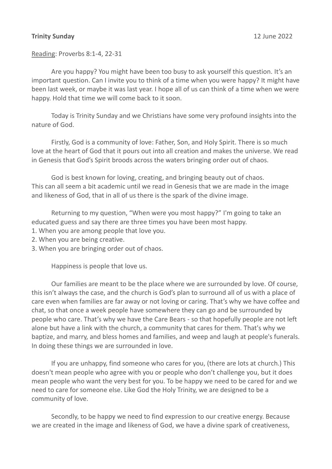## **Trinity Sunday** 12 June 2022

Reading: Proverbs 8:1-4, 22-31

Are you happy? You might have been too busy to ask yourself this question. It's an important question. Can I invite you to think of a time when you were happy? It might have been last week, or maybe it was last year. I hope all of us can think of a time when we were happy. Hold that time we will come back to it soon.

Today is Trinity Sunday and we Christians have some very profound insights into the nature of God.

Firstly, God is a community of love: Father, Son, and Holy Spirit. There is so much love at the heart of God that it pours out into all creation and makes the universe. We read in Genesis that God's Spirit broods across the waters bringing order out of chaos.

God is best known for loving, creating, and bringing beauty out of chaos. This can all seem a bit academic until we read in Genesis that we are made in the image and likeness of God, that in all of us there is the spark of the divine image.

Returning to my question, "When were you most happy?" I'm going to take an educated guess and say there are three times you have been most happy.

- 1. When you are among people that love you.
- 2. When you are being creative.
- 3. When you are bringing order out of chaos.

Happiness is people that love us.

Our families are meant to be the place where we are surrounded by love. Of course, this isn't always the case, and the church is God's plan to surround all of us with a place of care even when families are far away or not loving or caring. That's why we have coffee and chat, so that once a week people have somewhere they can go and be surrounded by people who care. That's why we have the Care Bears - so that hopefully people are not left alone but have a link with the church, a community that cares for them. That's why we baptize, and marry, and bless homes and families, and weep and laugh at people's funerals. In doing these things we are surrounded in love.

If you are unhappy, find someone who cares for you, (there are lots at church.) This doesn't mean people who agree with you or people who don't challenge you, but it does mean people who want the very best for you. To be happy we need to be cared for and we need to care for someone else. Like God the Holy Trinity, we are designed to be a community of love.

Secondly, to be happy we need to find expression to our creative energy. Because we are created in the image and likeness of God, we have a divine spark of creativeness,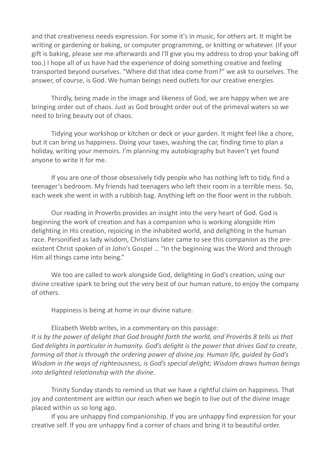and that creativeness needs expression. For some it's in music, for others art. It might be writing or gardening or baking, or computer programming, or knitting or whatever. (If your gift is baking, please see me afterwards and I'll give you my address to drop your baking off too.) I hope all of us have had the experience of doing something creative and feeling transported beyond ourselves. "Where did that idea come from?" we ask to ourselves. The answer, of course, is God. We human beings need outlets for our creative energies.

Thirdly, being made in the image and likeness of God, we are happy when we are bringing order out of chaos. Just as God brought order out of the primeval waters so we need to bring beauty out of chaos.

Tidying your workshop or kitchen or deck or your garden. It might feel like a chore, but it can bring us happiness. Doing your taxes, washing the car, finding time to plan a holiday, writing your memoirs. I'm planning my autobiography but haven't yet found anyone to write it for me.

If you are one of those obsessively tidy people who has nothing left to tidy, find a teenager's bedroom. My friends had teenagers who left their room in a terrible mess. So, each week she went in with a rubbish bag. Anything left on the floor went in the rubbish.

Our reading in Proverbs provides an insight into the very heart of God. God is beginning the work of creation and has a companion who is working alongside Him delighting in His creation, rejoicing in the inhabited world, and delighting in the human race. Personified as lady wisdom, Christians later came to see this companion as the preexistent Christ spoken of in John's Gospel … "In the beginning was the Word and through Him all things came into being."

We too are called to work alongside God, delighting in God's creation, using our divine creative spark to bring out the very best of our human nature, to enjoy the company of others.

Happiness is being at home in our divine nature.

Elizabeth Webb writes, in a commentary on this passage: *It is by the power of delight that God brought forth the world, and Proverbs 8 tells us that God delights in particular in humanity. God's delight is the power that drives God to create, forming all that is through the ordering power of divine joy. Human life, guided by God's Wisdom in the ways of righteousness, is God's special delight; Wisdom draws human beings into delighted relationship with the divine.*

Trinity Sunday stands to remind us that we have a rightful claim on happiness. That joy and contentment are within our reach when we begin to live out of the divine image placed within us so long ago.

If you are unhappy find companionship. If you are unhappy find expression for your creative self. If you are unhappy find a corner of chaos and bring it to beautiful order.